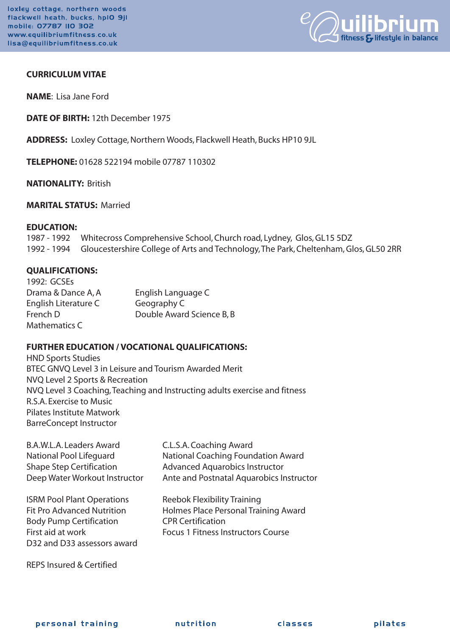

# **CURRICULUM VITAE**

**NAME**: Lisa Jane Ford

**DATE OF BIRTH:** 12th December 1975

**ADDRESS:** Loxley Cottage, Northern Woods, Flackwell Heath, Bucks HP10 9JL

**TELEPHONE:** 01628 522194 mobile 07787 110302

**NATIONALITY:** British

### **MARITAL STATUS:** Married

#### **EDUCATION:**

1987 - 1992 Whitecross Comprehensive School, Church road, Lydney, Glos, GL15 5DZ 1992 - 1994 Gloucestershire College of Arts and Technology, The Park, Cheltenham, Glos, GL50 2RR

#### **QUALIFICATIONS:**

| 1992: GCSEs          |                           |
|----------------------|---------------------------|
| Drama & Dance A, A   | English Language C        |
| English Literature C | Geography C               |
| French D             | Double Award Science B, B |
| Mathematics C        |                           |

## **FURTHER EDUCATION / VOCATIONAL QUALIFICATIONS:**

HND Sports Studies BTEC GNVQ Level 3 in Leisure and Tourism Awarded Merit NVQ Level 2 Sports & Recreation NVQ Level 3 Coaching, Teaching and Instructing adults exercise and fitness R.S.A. Exercise to Music Pilates Institute Matwork BarreConcept Instructor

B.A.W.L.A. Leaders Award C.L.S.A. Coaching Award

Body Pump Certification CPR Certification D32 and D33 assessors award

National Pool Lifeguard National Coaching Foundation Award Shape Step Certification **Advanced Aquarobics Instructor** Deep Water Workout Instructor Ante and Postnatal Aquarobics Instructor

ISRM Pool Plant Operations Reebok Flexibility Training Fit Pro Advanced Nutrition Holmes Place Personal Training Award First aid at work Focus 1 Fitness Instructors Course

REPS Insured & Certified